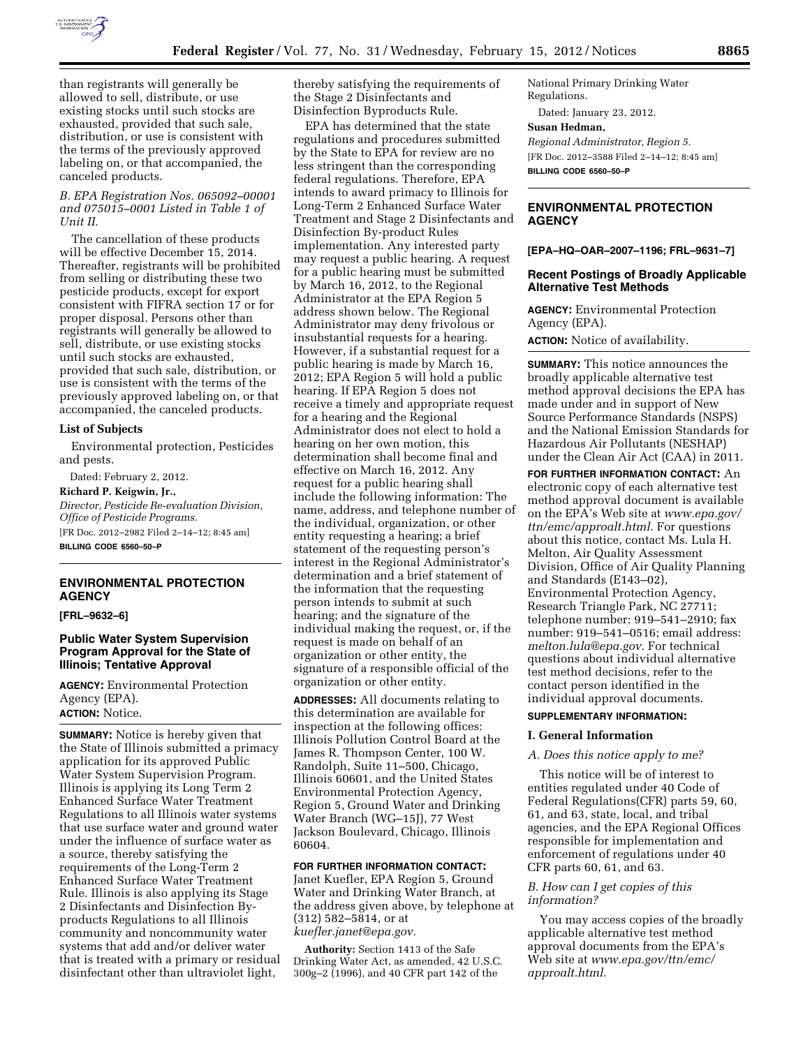

than registrants will generally be allowed to sell, distribute, or use existing stocks until such stocks are exhausted, provided that such sale, distribution, or use is consistent with the terms of the previously approved labeling on, or that accompanied, the canceled products.

# *B. EPA Registration Nos. 065092–00001 and 075015–0001 Listed in Table 1 of Unit II.*

The cancellation of these products will be effective December 15, 2014. Thereafter, registrants will be prohibited from selling or distributing these two pesticide products, except for export consistent with FIFRA section 17 or for proper disposal. Persons other than registrants will generally be allowed to sell, distribute, or use existing stocks until such stocks are exhausted, provided that such sale, distribution, or use is consistent with the terms of the previously approved labeling on, or that accompanied, the canceled products.

#### **List of Subjects**

Environmental protection, Pesticides and pests.

Dated: February 2, 2012.

**Richard P. Keigwin, Jr.,**  *Director, Pesticide Re-evaluation Division, Office of Pesticide Programs.*  [FR Doc. 2012–2982 Filed 2–14–12; 8:45 am] **BILLING CODE 6560–50–P** 

# **ENVIRONMENTAL PROTECTION AGENCY**

**[FRL–9632–6]** 

# **Public Water System Supervision Program Approval for the State of Illinois; Tentative Approval**

**AGENCY:** Environmental Protection Agency (EPA). **ACTION:** Notice.

**SUMMARY:** Notice is hereby given that the State of Illinois submitted a primacy application for its approved Public Water System Supervision Program. Illinois is applying its Long Term 2 Enhanced Surface Water Treatment Regulations to all Illinois water systems that use surface water and ground water under the influence of surface water as a source, thereby satisfying the requirements of the Long-Term 2 Enhanced Surface Water Treatment Rule. Illinois is also applying its Stage 2 Disinfectants and Disinfection Byproducts Regulations to all Illinois community and noncommunity water systems that add and/or deliver water that is treated with a primary or residual disinfectant other than ultraviolet light,

thereby satisfying the requirements of the Stage 2 Disinfectants and Disinfection Byproducts Rule.

EPA has determined that the state regulations and procedures submitted by the State to EPA for review are no less stringent than the corresponding federal regulations. Therefore, EPA intends to award primacy to Illinois for Long-Term 2 Enhanced Surface Water Treatment and Stage 2 Disinfectants and Disinfection By-product Rules implementation. Any interested party may request a public hearing. A request for a public hearing must be submitted by March 16, 2012, to the Regional Administrator at the EPA Region 5 address shown below. The Regional Administrator may deny frivolous or insubstantial requests for a hearing. However, if a substantial request for a public hearing is made by March 16, 2012; EPA Region 5 will hold a public hearing. If EPA Region 5 does not receive a timely and appropriate request for a hearing and the Regional Administrator does not elect to hold a hearing on her own motion, this determination shall become final and effective on March 16, 2012. Any request for a public hearing shall include the following information: The name, address, and telephone number of the individual, organization, or other entity requesting a hearing; a brief statement of the requesting person's interest in the Regional Administrator's determination and a brief statement of the information that the requesting person intends to submit at such hearing; and the signature of the individual making the request, or, if the request is made on behalf of an organization or other entity, the signature of a responsible official of the organization or other entity.

**ADDRESSES:** All documents relating to this determination are available for inspection at the following offices: Illinois Pollution Control Board at the James R. Thompson Center, 100 W. Randolph, Suite 11–500, Chicago, Illinois 60601, and the United States Environmental Protection Agency, Region 5, Ground Water and Drinking Water Branch (WG–15J), 77 West Jackson Boulevard, Chicago, Illinois 60604.

# **FOR FURTHER INFORMATION CONTACT:**

Janet Kuefler, EPA Region 5, Ground Water and Drinking Water Branch, at the address given above, by telephone at (312) 582–5814, or at *[kuefler.janet@epa.gov.](mailto:kuefler.janet@epa.gov)* 

**Authority:** Section 1413 of the Safe Drinking Water Act, as amended, 42 U.S.C. 300g–2 (1996), and 40 CFR part 142 of the

National Primary Drinking Water Regulations.

Dated: January 23, 2012.

#### **Susan Hedman,**

*Regional Administrator, Region 5.*  [FR Doc. 2012–3588 Filed 2–14–12; 8:45 am] **BILLING CODE 6560–50–P** 

# **ENVIRONMENTAL PROTECTION AGENCY**

**[EPA–HQ–OAR–2007–1196; FRL–9631–7]** 

#### **Recent Postings of Broadly Applicable Alternative Test Methods**

**AGENCY:** Environmental Protection Agency (EPA).

**ACTION:** Notice of availability.

**SUMMARY:** This notice announces the broadly applicable alternative test method approval decisions the EPA has made under and in support of New Source Performance Standards (NSPS) and the National Emission Standards for Hazardous Air Pollutants (NESHAP) under the Clean Air Act (CAA) in 2011.

**FOR FURTHER INFORMATION CONTACT:** An electronic copy of each alternative test method approval document is available on the EPA's Web site at *[www.epa.gov/](http://www.epa.gov/ttn/emc/approalt.html) [ttn/emc/approalt.html.](http://www.epa.gov/ttn/emc/approalt.html)* For questions about this notice, contact Ms. Lula H. Melton, Air Quality Assessment Division, Office of Air Quality Planning and Standards (E143–02), Environmental Protection Agency, Research Triangle Park, NC 27711; telephone number: 919–541–2910; fax number: 919–541–0516; email address: *[melton.lula@epa.gov.](mailto:melton.lula@epa.gov)* For technical questions about individual alternative test method decisions, refer to the contact person identified in the individual approval documents.

#### **SUPPLEMENTARY INFORMATION:**

#### **I. General Information**

#### *A. Does this notice apply to me?*

This notice will be of interest to entities regulated under 40 Code of Federal Regulations(CFR) parts 59, 60, 61, and 63, state, local, and tribal agencies, and the EPA Regional Offices responsible for implementation and enforcement of regulations under 40 CFR parts 60, 61, and 63.

### *B. How can I get copies of this information?*

You may access copies of the broadly applicable alternative test method approval documents from the EPA's Web site at *[www.epa.gov/ttn/emc/](http://www.epa.gov/ttn/emc/approalt.html)  [approalt.html.](http://www.epa.gov/ttn/emc/approalt.html)*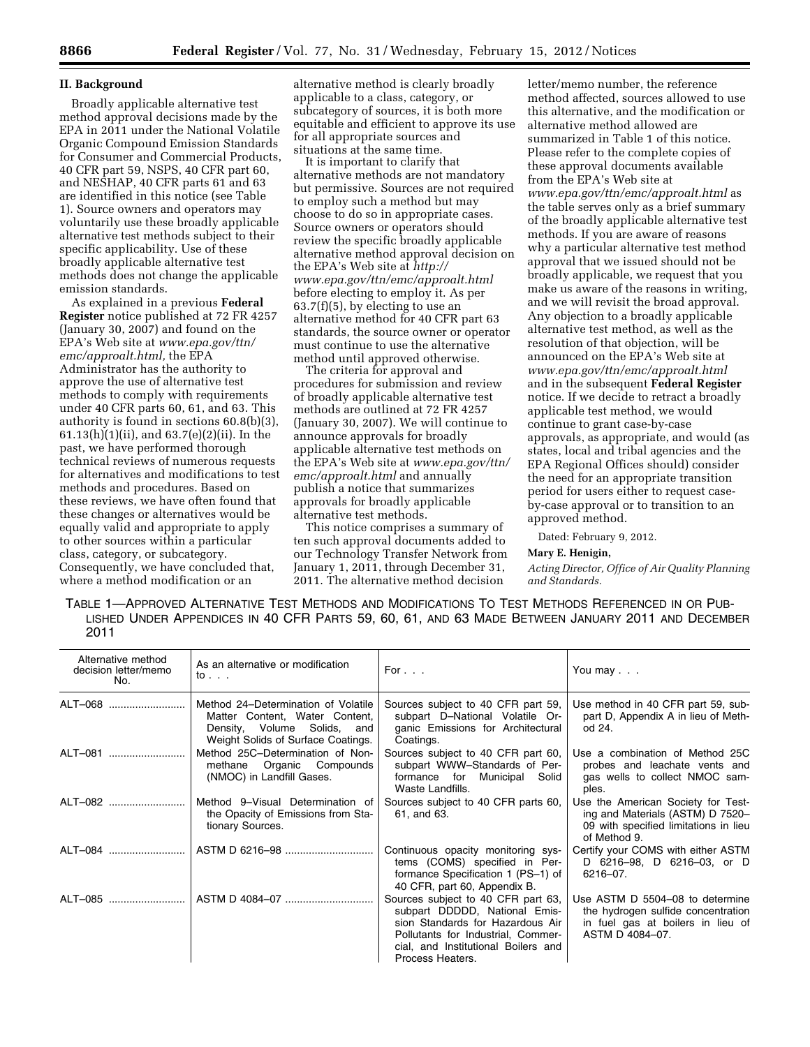#### **II. Background**

Broadly applicable alternative test method approval decisions made by the EPA in 2011 under the National Volatile Organic Compound Emission Standards for Consumer and Commercial Products, 40 CFR part 59, NSPS, 40 CFR part 60, and NESHAP, 40 CFR parts 61 and 63 are identified in this notice (see Table 1). Source owners and operators may voluntarily use these broadly applicable alternative test methods subject to their specific applicability. Use of these broadly applicable alternative test methods does not change the applicable emission standards.

As explained in a previous **Federal Register** notice published at 72 FR 4257 (January 30, 2007) and found on the EPA's Web site at *[www.epa.gov/ttn/](http://www.epa.gov/ttn/emc/approalt.html) [emc/approalt.html,](http://www.epa.gov/ttn/emc/approalt.html)* the EPA Administrator has the authority to approve the use of alternative test methods to comply with requirements under 40 CFR parts 60, 61, and 63. This authority is found in sections 60.8(b)(3), 61.13(h)(1)(ii), and 63.7(e)(2)(ii). In the past, we have performed thorough technical reviews of numerous requests for alternatives and modifications to test methods and procedures. Based on these reviews, we have often found that these changes or alternatives would be equally valid and appropriate to apply to other sources within a particular class, category, or subcategory. Consequently, we have concluded that, where a method modification or an

alternative method is clearly broadly applicable to a class, category, or subcategory of sources, it is both more equitable and efficient to approve its use for all appropriate sources and situations at the same time.

It is important to clarify that alternative methods are not mandatory but permissive. Sources are not required to employ such a method but may choose to do so in appropriate cases. Source owners or operators should review the specific broadly applicable alternative method approval decision on the EPA's Web site at *[http://](http://www.epa.gov/ttn/emc/approalt.html)  [www.epa.gov/ttn/emc/approalt.html](http://www.epa.gov/ttn/emc/approalt.html)*  before electing to employ it. As per  $63.7(f)(5)$ , by electing to use an alternative method for 40 CFR part 63 standards, the source owner or operator must continue to use the alternative method until approved otherwise.

The criteria for approval and procedures for submission and review of broadly applicable alternative test methods are outlined at 72 FR 4257 (January 30, 2007). We will continue to announce approvals for broadly applicable alternative test methods on the EPA's Web site at *[www.epa.gov/ttn/](http://www.epa.gov/ttn/emc/approalt.html) [emc/approalt.html](http://www.epa.gov/ttn/emc/approalt.html)* and annually publish a notice that summarizes approvals for broadly applicable alternative test methods.

This notice comprises a summary of ten such approval documents added to our Technology Transfer Network from January 1, 2011, through December 31, 2011. The alternative method decision

letter/memo number, the reference method affected, sources allowed to use this alternative, and the modification or alternative method allowed are summarized in Table 1 of this notice. Please refer to the complete copies of these approval documents available from the EPA's Web site at *[www.epa.gov/ttn/emc/approalt.html](http://www.epa.gov/ttn/emc/approalt.html)* as the table serves only as a brief summary of the broadly applicable alternative test methods. If you are aware of reasons why a particular alternative test method approval that we issued should not be broadly applicable, we request that you make us aware of the reasons in writing, and we will revisit the broad approval. Any objection to a broadly applicable alternative test method, as well as the resolution of that objection, will be announced on the EPA's Web site at *[www.epa.gov/ttn/emc/approalt.html](http://www.epa.gov/ttn/emc/approalt.html)*  and in the subsequent **Federal Register**  notice. If we decide to retract a broadly applicable test method, we would continue to grant case-by-case approvals, as appropriate, and would (as states, local and tribal agencies and the EPA Regional Offices should) consider the need for an appropriate transition period for users either to request caseby-case approval or to transition to an approved method.

Dated: February 9, 2012.

#### **Mary E. Henigin,**

*Acting Director, Office of Air Quality Planning and Standards.* 

TABLE 1—APPROVED ALTERNATIVE TEST METHODS AND MODIFICATIONS TO TEST METHODS REFERENCED IN OR PUB-LISHED UNDER APPENDICES IN 40 CFR PARTS 59, 60, 61, AND 63 MADE BETWEEN JANUARY 2011 AND DECEMBER 2011

| Alternative method<br>decision letter/memo<br>No. | As an alternative or modification<br>to $\ldots$                                                                                           | For $\ldots$                                                                                                                                                                                             | You may                                                                                                                         |
|---------------------------------------------------|--------------------------------------------------------------------------------------------------------------------------------------------|----------------------------------------------------------------------------------------------------------------------------------------------------------------------------------------------------------|---------------------------------------------------------------------------------------------------------------------------------|
| ALT-068                                           | Method 24–Determination of Volatile<br>Matter Content, Water Content,<br>Density, Volume Solids, and<br>Weight Solids of Surface Coatings. | Sources subject to 40 CFR part 59,<br>subpart D-National Volatile Or-<br>ganic Emissions for Architectural<br>Coatings.                                                                                  | Use method in 40 CFR part 59, sub-<br>part D, Appendix A in lieu of Meth-<br>od 24.                                             |
| ALT-081                                           | Method 25C-Determination of Non-<br>methane Organic Compounds<br>(NMOC) in Landfill Gases.                                                 | Sources subject to 40 CFR part 60,<br>subpart WWW-Standards of Per-<br>formance for Municipal<br>Solid  <br>Waste Landfills.                                                                             | Use a combination of Method 25C<br>probes and leachate vents and<br>gas wells to collect NMOC sam-<br>ples.                     |
| ALT-082                                           | Method 9-Visual Determination of<br>the Opacity of Emissions from Sta-<br>tionary Sources.                                                 | Sources subject to 40 CFR parts 60,<br>61, and 63.                                                                                                                                                       | Use the American Society for Test-<br>ing and Materials (ASTM) D 7520-<br>09 with specified limitations in lieu<br>of Method 9. |
| ALT-084                                           | ASTM D 6216–98                                                                                                                             | Continuous opacity monitoring sys-<br>tems (COMS) specified in Per-<br>formance Specification 1 (PS-1) of  <br>40 CFR, part 60, Appendix B.                                                              | Certify your COMS with either ASTM<br>D 6216-98, D 6216-03, or D<br>6216-07.                                                    |
|                                                   |                                                                                                                                            | Sources subject to 40 CFR part 63.<br>subpart DDDDD, National Emis-<br>sion Standards for Hazardous Air<br>Pollutants for Industrial, Commer-<br>cial, and Institutional Boilers and<br>Process Heaters. | Use ASTM D 5504-08 to determine<br>the hydrogen sulfide concentration<br>in fuel gas at boilers in lieu of<br>ASTM D 4084-07.   |